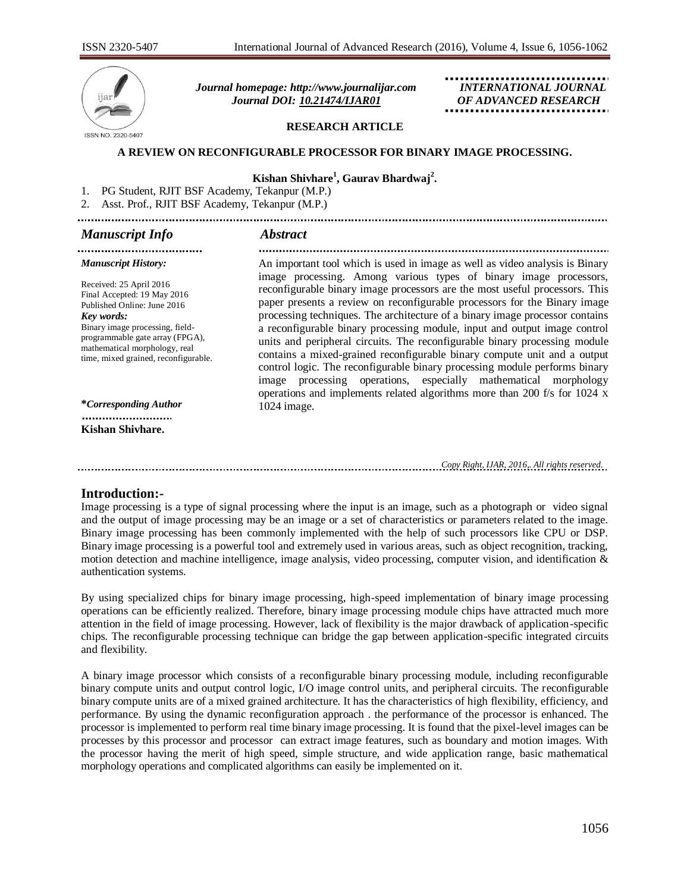

 *Journal homepage: [http://www.journalijar.com](http://www.journalijar.com/) INTERNATIONAL JOURNAL Journal DOI: [10.21474/IJAR01](http://dx.doi.org/10.21474/IJAR01) OF ADVANCED RESEARCH*

#### **RESEARCH ARTICLE**

#### **A REVIEW ON RECONFIGURABLE PROCESSOR FOR BINARY IMAGE PROCESSING.**

## **Kishan Shivhare<sup>1</sup> , Gaurav Bhardwaj<sup>2</sup> .**

1. PG Student, RJIT BSF Academy, Tekanpur (M.P.)

2. Asst. Prof., RJIT BSF Academy, Tekanpur (M.P.)

## *Manuscript Info Abstract*

.................................... 

#### *Manuscript History:*

Received: 25 April 2016 Final Accepted: 19 May 2016 Published Online: June 2016 *Key words:*  Binary image processing, fieldprogrammable gate array (FPGA), mathematical morphology, real time, mixed grained, reconfigurable.

**\****Corresponding Author*

.......................... **Kishan Shivhare.**

An important tool which is used in image as well as video analysis is Binary image processing. Among various types of binary image processors, reconfigurable binary image processors are the most useful processors. This paper presents a review on reconfigurable processors for the Binary image processing techniques. The architecture of a binary image processor contains a reconfigurable binary processing module, input and output image control units and peripheral circuits. The reconfigurable binary processing module contains a mixed-grained reconfigurable binary compute unit and a output control logic. The reconfigurable binary processing module performs binary image processing operations, especially mathematical morphology operations and implements related algorithms more than 200 f/s for 1024 X 1024 image.

*Copy Right, IJAR, 2016,. All rights reserved.*

#### **Introduction:-**

Image processing is a type of signal processing where the input is an image, such as a photograph or video signal and the output of image processing may be an image or a set of characteristics or parameters related to the image. Binary image processing has been commonly implemented with the help of such processors like CPU or DSP. Binary image processing is a powerful tool and extremely used in various areas, such as object recognition, tracking, motion detection and machine intelligence, image analysis, video processing, computer vision, and identification  $\&$ authentication systems.

By using specialized chips for binary image processing, high-speed implementation of binary image processing operations can be efficiently realized. Therefore, binary image processing module chips have attracted much more attention in the field of image processing. However, lack of flexibility is the major drawback of application-specific chips. The reconfigurable processing technique can bridge the gap between application-specific integrated circuits and flexibility.

A binary image processor which consists of a reconfigurable binary processing module, including reconfigurable binary compute units and output control logic, I/O image control units, and peripheral circuits. The reconfigurable binary compute units are of a mixed grained architecture. It has the characteristics of high flexibility, efficiency, and performance. By using the dynamic reconfiguration approach . the performance of the processor is enhanced. The processor is implemented to perform real time binary image processing. It is found that the pixel-level images can be processes by this processor and processor can extract image features, such as boundary and motion images. With the processor having the merit of high speed, simple structure, and wide application range, basic mathematical morphology operations and complicated algorithms can easily be implemented on it.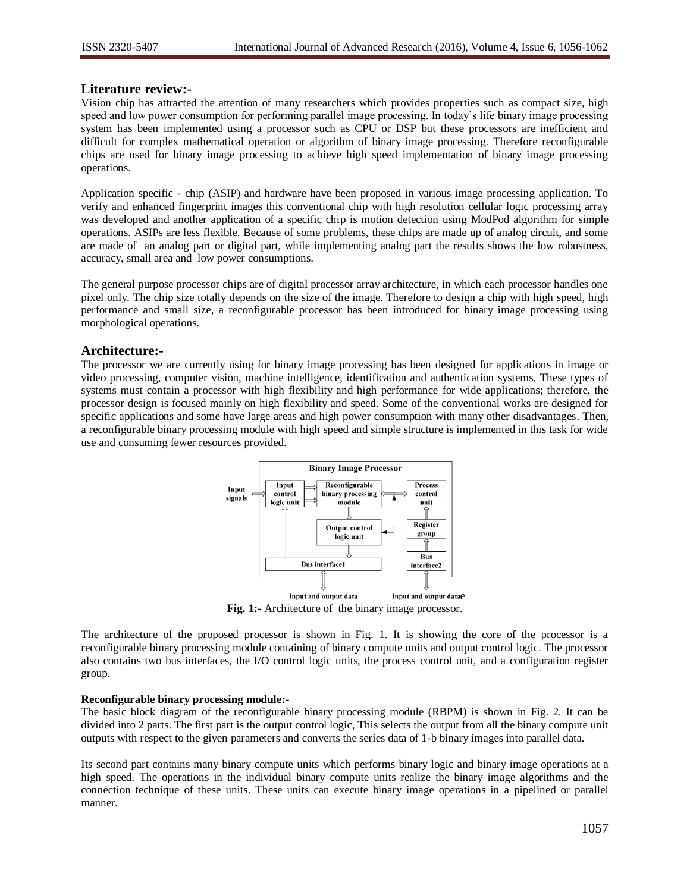## **Literature review:-**

Vision chip has attracted the attention of many researchers which provides properties such as compact size, high speed and low power consumption for performing parallel image processing. In today's life binary image processing system has been implemented using a processor such as CPU or DSP but these processors are inefficient and difficult for complex mathematical operation or algorithm of binary image processing. Therefore reconfigurable chips are used for binary image processing to achieve high speed implementation of binary image processing operations.

Application specific - chip (ASIP) and hardware have been proposed in various image processing application. To verify and enhanced fingerprint images this conventional chip with high resolution cellular logic processing array was developed and another application of a specific chip is motion detection using ModPod algorithm for simple operations. ASIPs are less flexible. Because of some problems, these chips are made up of analog circuit, and some are made of an analog part or digital part, while implementing analog part the results shows the low robustness, accuracy, small area and low power consumptions.

The general purpose processor chips are of digital processor array architecture, in which each processor handles one pixel only. The chip size totally depends on the size of the image. Therefore to design a chip with high speed, high performance and small size, a reconfigurable processor has been introduced for binary image processing using morphological operations.

## **Architecture:-**

The processor we are currently using for binary image processing has been designed for applications in image or video processing, computer vision, machine intelligence, identification and authentication systems. These types of systems must contain a processor with high flexibility and high performance for wide applications; therefore, the processor design is focused mainly on high flexibility and speed. Some of the conventional works are designed for specific applications and some have large areas and high power consumption with many other disadvantages. Then, a reconfigurable binary processing module with high speed and simple structure is implemented in this task for wide use and consuming fewer resources provided.



**Fig. 1:-** Architecture of the binary image processor.

The architecture of the proposed processor is shown in Fig. 1. It is showing the core of the processor is a reconfigurable binary processing module containing of binary compute units and output control logic. The processor also contains two bus interfaces, the I/O control logic units, the process control unit, and a configuration register group.

#### **Reconfigurable binary processing module:-**

The basic block diagram of the reconfigurable binary processing module (RBPM) is shown in Fig. 2. It can be divided into 2 parts. The first part is the output control logic, This selects the output from all the binary compute unit outputs with respect to the given parameters and converts the series data of 1-b binary images into parallel data.

Its second part contains many binary compute units which performs binary logic and binary image operations at a high speed. The operations in the individual binary compute units realize the binary image algorithms and the connection technique of these units. These units can execute binary image operations in a pipelined or parallel manner.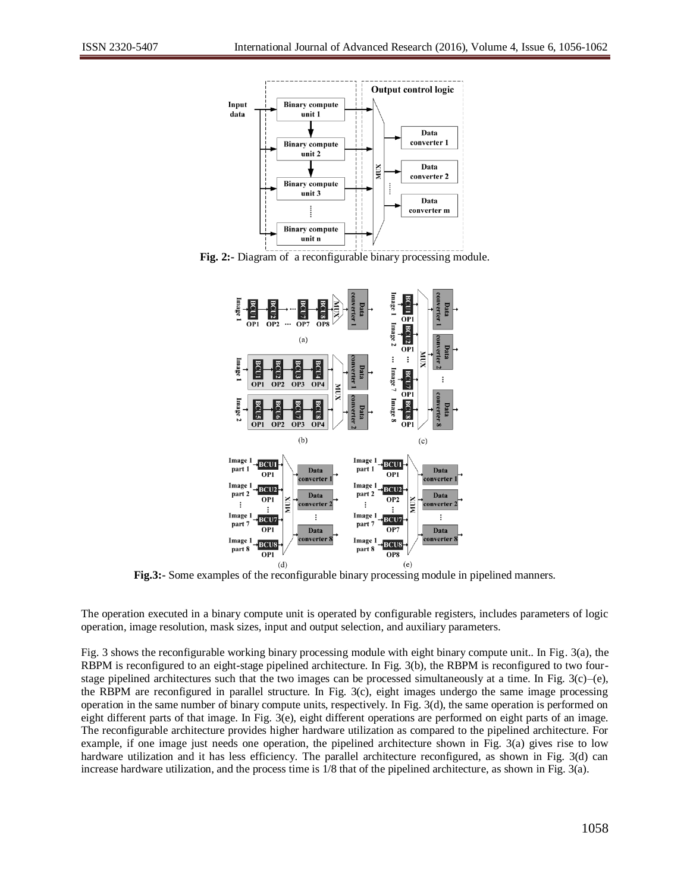

**Fig. 2:-** Diagram of a reconfigurable binary processing module.



**Fig.3:-** Some examples of the reconfigurable binary processing module in pipelined manners.

The operation executed in a binary compute unit is operated by configurable registers, includes parameters of logic operation, image resolution, mask sizes, input and output selection, and auxiliary parameters.

Fig. 3 shows the reconfigurable working binary processing module with eight binary compute unit.. In Fig. 3(a), the RBPM is reconfigured to an eight-stage pipelined architecture. In Fig. 3(b), the RBPM is reconfigured to two fourstage pipelined architectures such that the two images can be processed simultaneously at a time. In Fig.  $3(c)$ –(e), the RBPM are reconfigured in parallel structure. In Fig. 3(c), eight images undergo the same image processing operation in the same number of binary compute units, respectively. In Fig. 3(d), the same operation is performed on eight different parts of that image. In Fig. 3(e), eight different operations are performed on eight parts of an image. The reconfigurable architecture provides higher hardware utilization as compared to the pipelined architecture. For example, if one image just needs one operation, the pipelined architecture shown in Fig. 3(a) gives rise to low hardware utilization and it has less efficiency. The parallel architecture reconfigured, as shown in Fig. 3(d) can increase hardware utilization, and the process time is 1/8 that of the pipelined architecture, as shown in Fig. 3(a).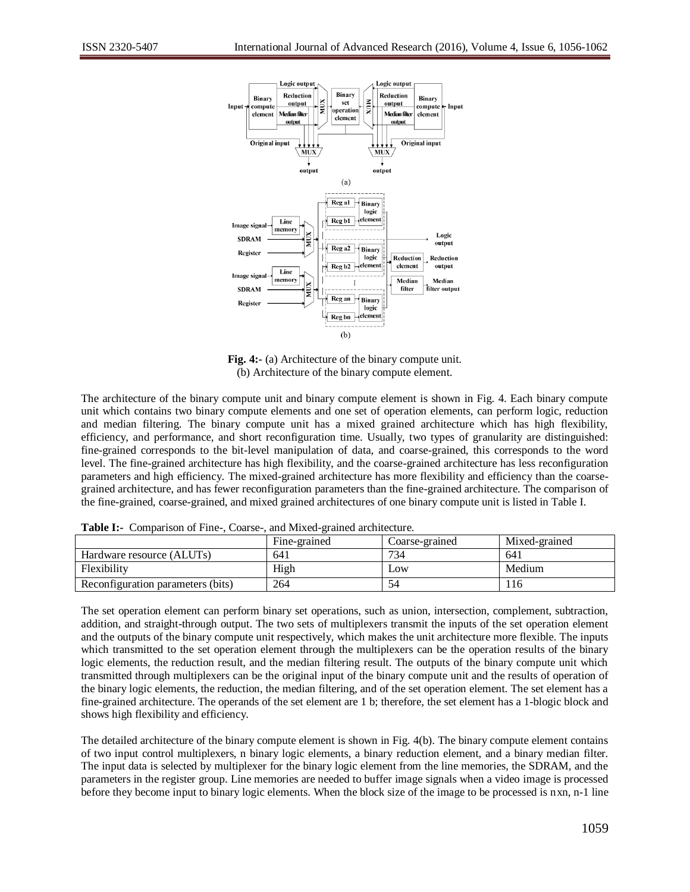

**Fig. 4:-** (a) Architecture of the binary compute unit. (b) Architecture of the binary compute element.

The architecture of the binary compute unit and binary compute element is shown in Fig. 4. Each binary compute unit which contains two binary compute elements and one set of operation elements, can perform logic, reduction and median filtering. The binary compute unit has a mixed grained architecture which has high flexibility, efficiency, and performance, and short reconfiguration time. Usually, two types of granularity are distinguished: fine-grained corresponds to the bit-level manipulation of data, and coarse-grained, this corresponds to the word level. The fine-grained architecture has high flexibility, and the coarse-grained architecture has less reconfiguration parameters and high efficiency. The mixed-grained architecture has more flexibility and efficiency than the coarsegrained architecture, and has fewer reconfiguration parameters than the fine-grained architecture. The comparison of the fine-grained, coarse-grained, and mixed grained architectures of one binary compute unit is listed in Table I.

|                                   |  | Fine-grained | Coarse-grained | Mixed-grained |
|-----------------------------------|--|--------------|----------------|---------------|
| Hardware resource (ALUTs)         |  | 641          | 734            | 641           |
| Flexibility                       |  | High         | Low            | Medium        |
| Reconfiguration parameters (bits) |  | 264          | 54             | <sup>16</sup> |

**Table I:-** Comparison of Fine-, Coarse-, and Mixed-grained architecture.

The set operation element can perform binary set operations, such as union, intersection, complement, subtraction, addition, and straight-through output. The two sets of multiplexers transmit the inputs of the set operation element and the outputs of the binary compute unit respectively, which makes the unit architecture more flexible. The inputs which transmitted to the set operation element through the multiplexers can be the operation results of the binary logic elements, the reduction result, and the median filtering result. The outputs of the binary compute unit which transmitted through multiplexers can be the original input of the binary compute unit and the results of operation of the binary logic elements, the reduction, the median filtering, and of the set operation element. The set element has a fine-grained architecture. The operands of the set element are 1 b; therefore, the set element has a 1-blogic block and shows high flexibility and efficiency.

The detailed architecture of the binary compute element is shown in Fig. 4(b). The binary compute element contains of two input control multiplexers, n binary logic elements, a binary reduction element, and a binary median filter. The input data is selected by multiplexer for the binary logic element from the line memories, the SDRAM, and the parameters in the register group. Line memories are needed to buffer image signals when a video image is processed before they become input to binary logic elements. When the block size of the image to be processed is nxn, n-1 line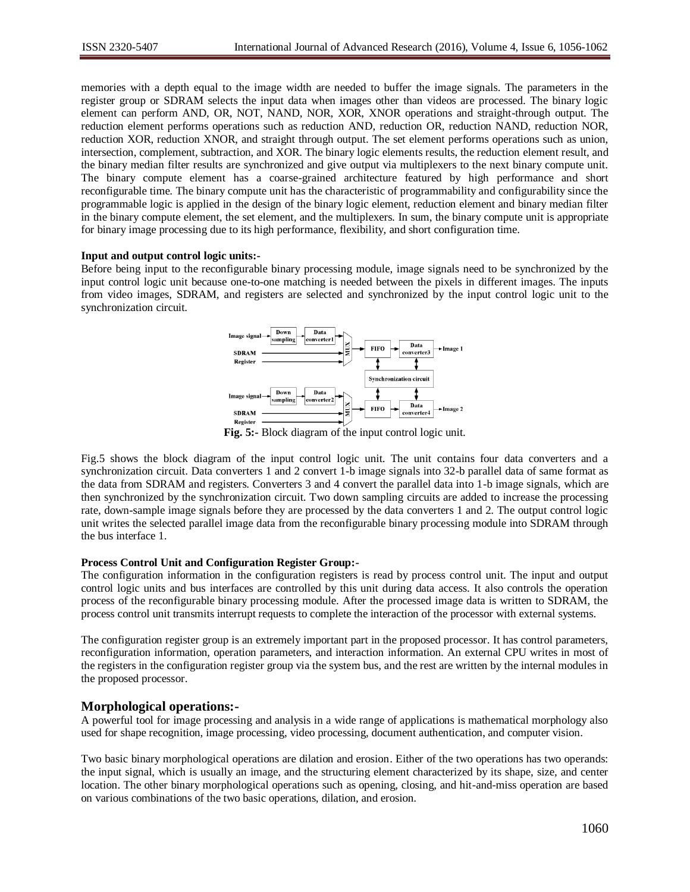memories with a depth equal to the image width are needed to buffer the image signals. The parameters in the register group or SDRAM selects the input data when images other than videos are processed. The binary logic element can perform AND, OR, NOT, NAND, NOR, XOR, XNOR operations and straight-through output. The reduction element performs operations such as reduction AND, reduction OR, reduction NAND, reduction NOR, reduction XOR, reduction XNOR, and straight through output. The set element performs operations such as union, intersection, complement, subtraction, and XOR. The binary logic elements results, the reduction element result, and the binary median filter results are synchronized and give output via multiplexers to the next binary compute unit. The binary compute element has a coarse-grained architecture featured by high performance and short reconfigurable time. The binary compute unit has the characteristic of programmability and configurability since the programmable logic is applied in the design of the binary logic element, reduction element and binary median filter in the binary compute element, the set element, and the multiplexers. In sum, the binary compute unit is appropriate for binary image processing due to its high performance, flexibility, and short configuration time.

#### **Input and output control logic units:-**

Before being input to the reconfigurable binary processing module, image signals need to be synchronized by the input control logic unit because one-to-one matching is needed between the pixels in different images. The inputs from video images, SDRAM, and registers are selected and synchronized by the input control logic unit to the synchronization circuit.



**Fig. 5:-** Block diagram of the input control logic unit.

Fig.5 shows the block diagram of the input control logic unit. The unit contains four data converters and a synchronization circuit. Data converters 1 and 2 convert 1-b image signals into 32-b parallel data of same format as the data from SDRAM and registers. Converters 3 and 4 convert the parallel data into 1-b image signals, which are then synchronized by the synchronization circuit. Two down sampling circuits are added to increase the processing rate, down-sample image signals before they are processed by the data converters 1 and 2. The output control logic unit writes the selected parallel image data from the reconfigurable binary processing module into SDRAM through the bus interface 1.

#### **Process Control Unit and Configuration Register Group:-**

The configuration information in the configuration registers is read by process control unit. The input and output control logic units and bus interfaces are controlled by this unit during data access. It also controls the operation process of the reconfigurable binary processing module. After the processed image data is written to SDRAM, the process control unit transmits interrupt requests to complete the interaction of the processor with external systems.

The configuration register group is an extremely important part in the proposed processor. It has control parameters, reconfiguration information, operation parameters, and interaction information. An external CPU writes in most of the registers in the configuration register group via the system bus, and the rest are written by the internal modules in the proposed processor.

## **Morphological operations:-**

A powerful tool for image processing and analysis in a wide range of applications is mathematical morphology also used for shape recognition, image processing, video processing, document authentication, and computer vision.

Two basic binary morphological operations are dilation and erosion. Either of the two operations has two operands: the input signal, which is usually an image, and the structuring element characterized by its shape, size, and center location. The other binary morphological operations such as opening, closing, and hit-and-miss operation are based on various combinations of the two basic operations, dilation, and erosion.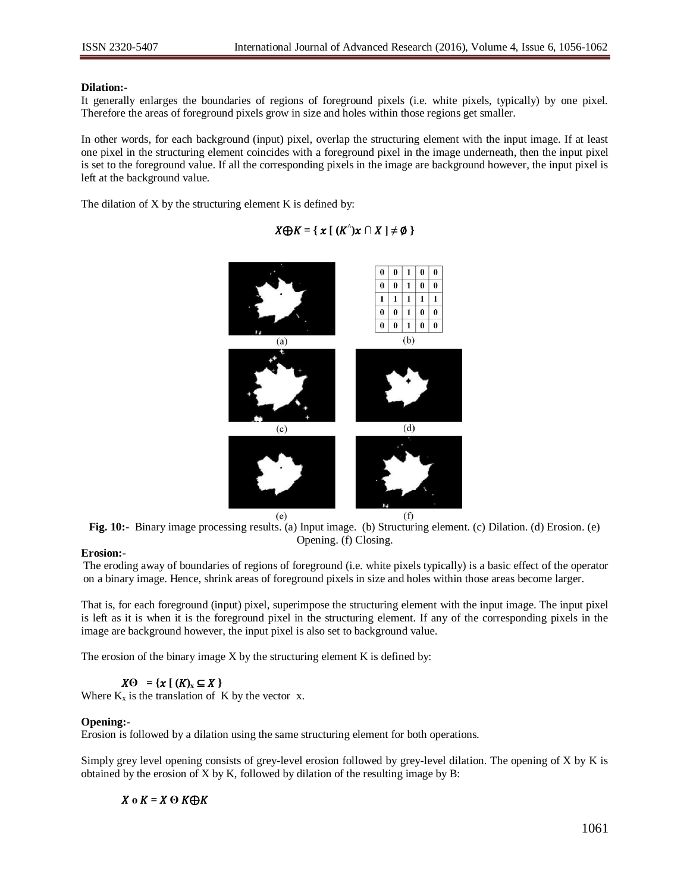#### **Dilation:-**

It generally enlarges the boundaries of regions of foreground pixels (i.e. white pixels, typically) by one pixel. Therefore the areas of foreground pixels grow in size and holes within those regions get smaller.

In other words, for each background (input) pixel, overlap the structuring element with the input image. If at least one pixel in the structuring element coincides with a foreground pixel in the image underneath, then the input pixel is set to the foreground value. If all the corresponding pixels in the image are background however, the input pixel is left at the background value.

The dilation of X by the structuring element K is defined by:

# $X \bigoplus K = \{ x \mid (K^{\wedge}) x \cap X \mid \neq \emptyset \}$



**Fig. 10:-** Binary image processing results. (a) Input image. (b) Structuring element. (c) Dilation. (d) Erosion. (e) Opening. (f) Closing.

## **Erosion:-**

The eroding away of boundaries of regions of foreground (i.e. white pixels typically) is a basic effect of the operator on a binary image. Hence, shrink areas of foreground pixels in size and holes within those areas become larger.

That is, for each foreground (input) pixel, superimpose the structuring element with the input image. The input pixel is left as it is when it is the foreground pixel in the structuring element. If any of the corresponding pixels in the image are background however, the input pixel is also set to background value.

The erosion of the binary image X by the structuring element K is defined by:

 $X\Theta = \{x \mid (K)_x \subseteq X\}$ 

Where  $K_x$  is the translation of K by the vector x.

## **Opening:-**

Erosion is followed by a dilation using the same structuring element for both operations.

Simply grey level opening consists of grey-level erosion followed by grey-level dilation. The opening of X by K is obtained by the erosion of X by K, followed by dilation of the resulting image by B:

## $X \circ K = X \odot K \oplus K$